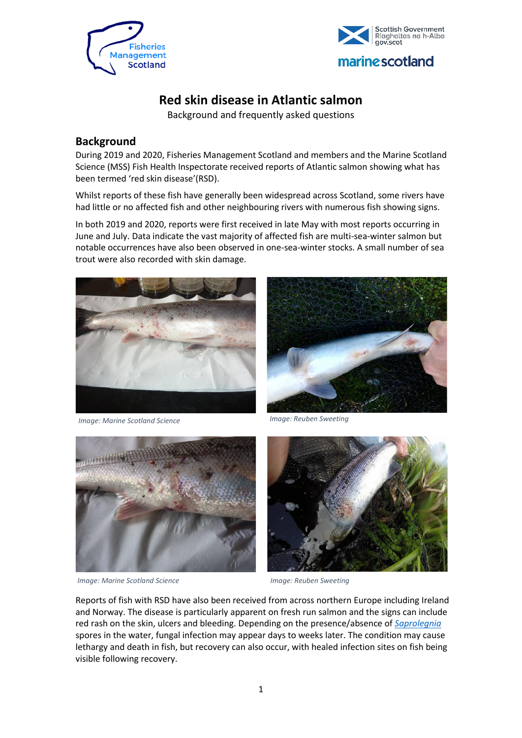



## **Red skin disease in Atlantic salmon**

Background and frequently asked questions

## **Background**

During 2019 and 2020, Fisheries Management Scotland and members and the Marine Scotland Science (MSS) Fish Health Inspectorate received reports of Atlantic salmon showing what has been termed 'red skin disease'(RSD).

Whilst reports of these fish have generally been widespread across Scotland, some rivers have had little or no affected fish and other neighbouring rivers with numerous fish showing signs.

In both 2019 and 2020, reports were first received in late May with most reports occurring in June and July. Data indicate the vast majority of affected fish are multi-sea-winter salmon but notable occurrences have also been observed in one-sea-winter stocks. A small number of sea trout were also recorded with skin damage.



*1Image: Marine Scotland Science Image: Marine Scotland Science Image: Reuben Sweeting*





*Image: Marine Scotland Science Image: Reuben Sweeting* 



Reports of fish with RSD have also been received from across northern Europe including Ireland and Norway. The disease is particularly apparent on fresh run salmon and the signs can include red rash on the skin, ulcers and bleeding. Depending on the presence/absence of *[Saprolegnia](https://en.wikipedia.org/wiki/Saprolegnia)* spores in the water, fungal infection may appear days to weeks later. The condition may cause lethargy and death in fish, but recovery can also occur, with healed infection sites on fish being visible following recovery.